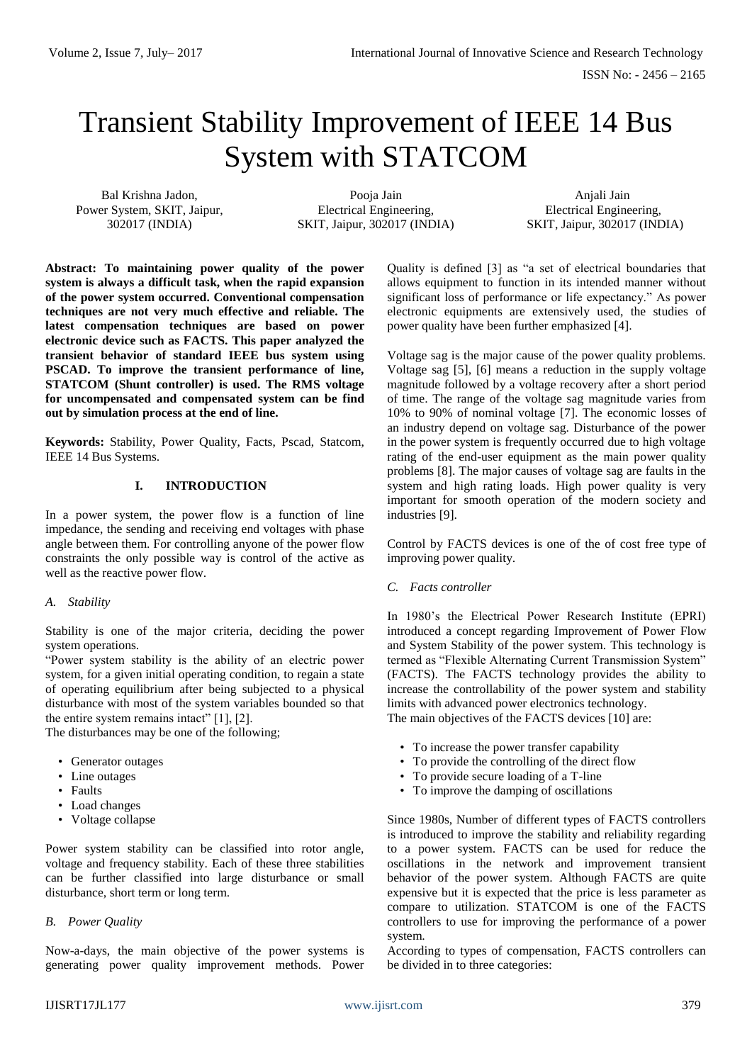# Transient Stability Improvement of IEEE 14 Bus System with STATCOM

Bal Krishna Jadon, Power System, SKIT, Jaipur, 302017 (INDIA)

Pooja Jain Electrical Engineering, SKIT, Jaipur, 302017 (INDIA)

Anjali Jain Electrical Engineering, SKIT, Jaipur, 302017 (INDIA)

**Abstract: To maintaining power quality of the power system is always a difficult task, when the rapid expansion of the power system occurred. Conventional compensation techniques are not very much effective and reliable. The latest compensation techniques are based on power electronic device such as FACTS. This paper analyzed the transient behavior of standard IEEE bus system using PSCAD. To improve the transient performance of line, STATCOM (Shunt controller) is used. The RMS voltage for uncompensated and compensated system can be find out by simulation process at the end of line.**

**Keywords:** Stability, Power Quality, Facts, Pscad, Statcom, IEEE 14 Bus Systems.

## **I. INTRODUCTION**

In a power system, the power flow is a function of line impedance, the sending and receiving end voltages with phase angle between them. For controlling anyone of the power flow constraints the only possible way is control of the active as well as the reactive power flow.

## *A. Stability*

Stability is one of the major criteria, deciding the power system operations.

"Power system stability is the ability of an electric power system, for a given initial operating condition, to regain a state of operating equilibrium after being subjected to a physical disturbance with most of the system variables bounded so that the entire system remains intact" [1], [2].

The disturbances may be one of the following;

- Generator outages
- Line outages
- Faults
- Load changes
- Voltage collapse

Power system stability can be classified into rotor angle, voltage and frequency stability. Each of these three stabilities can be further classified into large disturbance or small disturbance, short term or long term.

## *B. Power Quality*

Now-a-days, the main objective of the power systems is generating power quality improvement methods. Power

Quality is defined [3] as "a set of electrical boundaries that allows equipment to function in its intended manner without significant loss of performance or life expectancy." As power electronic equipments are extensively used, the studies of power quality have been further emphasized [4].

Voltage sag is the major cause of the power quality problems. Voltage sag [5], [6] means a reduction in the supply voltage magnitude followed by a voltage recovery after a short period of time. The range of the voltage sag magnitude varies from 10% to 90% of nominal voltage [7]. The economic losses of an industry depend on voltage sag. Disturbance of the power in the power system is frequently occurred due to high voltage rating of the end-user equipment as the main power quality problems [8]. The major causes of voltage sag are faults in the system and high rating loads. High power quality is very important for smooth operation of the modern society and industries [9].

Control by FACTS devices is one of the of cost free type of improving power quality.

## *C. Facts controller*

In 1980's the Electrical Power Research Institute (EPRI) introduced a concept regarding Improvement of Power Flow and System Stability of the power system. This technology is termed as "Flexible Alternating Current Transmission System" (FACTS). The FACTS technology provides the ability to increase the controllability of the power system and stability limits with advanced power electronics technology.

The main objectives of the FACTS devices [10] are:

- To increase the power transfer capability
- To provide the controlling of the direct flow
- To provide secure loading of a T-line
- To improve the damping of oscillations

Since 1980s, Number of different types of FACTS controllers is introduced to improve the stability and reliability regarding to a power system. FACTS can be used for reduce the oscillations in the network and improvement transient behavior of the power system. Although FACTS are quite expensive but it is expected that the price is less parameter as compare to utilization. STATCOM is one of the FACTS controllers to use for improving the performance of a power system.

According to types of compensation, FACTS controllers can be divided in to three categories: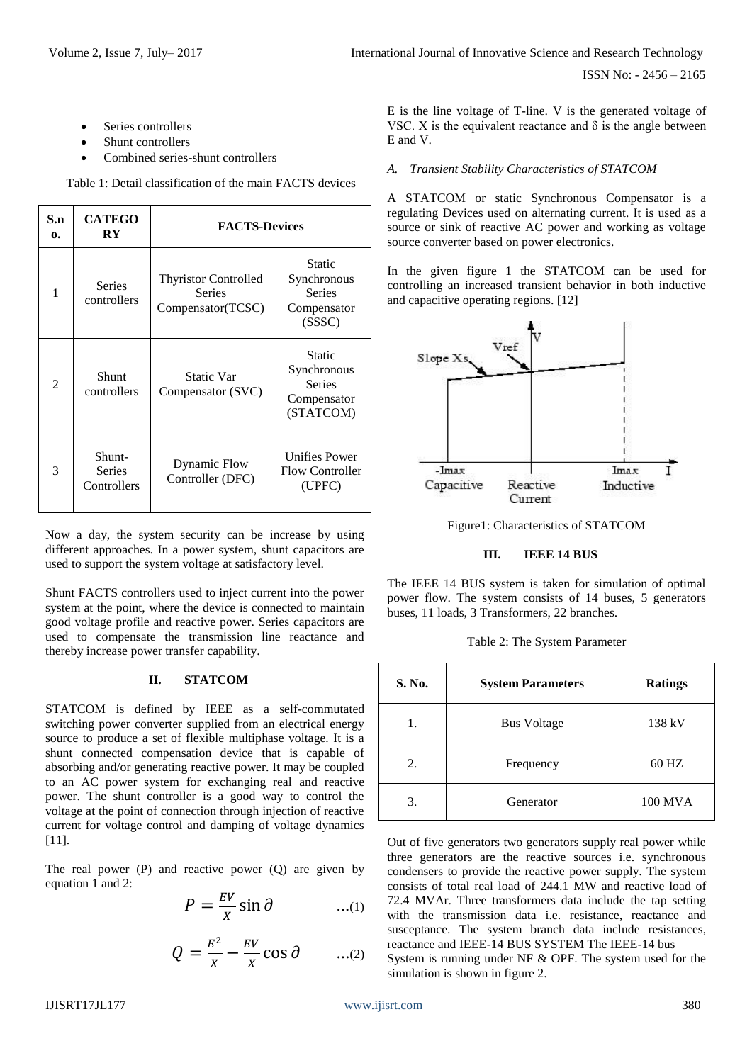- Series controllers
- Shunt controllers
- Combined series-shunt controllers

Table 1: Detail classification of the main FACTS devices

| S.n<br>0. | <b>CATEGO</b><br>RY                    | <b>FACTS-Devices</b>                                              |                                                                    |  |
|-----------|----------------------------------------|-------------------------------------------------------------------|--------------------------------------------------------------------|--|
| 1         | <b>Series</b><br>controllers           | <b>Thyristor Controlled</b><br><b>Series</b><br>Compensator(TCSC) | Static<br>Synchronous<br><b>Series</b><br>Compensator<br>(SSSC)    |  |
| 2         | Shunt<br>controllers                   | <b>Static Var</b><br>Compensator (SVC)                            | Static<br>Synchronous<br><b>Series</b><br>Compensator<br>(STATCOM) |  |
| 3         | Shunt-<br><b>Series</b><br>Controllers | Dynamic Flow<br>Controller (DFC)                                  | <b>Unifies Power</b><br><b>Flow Controller</b><br>(UPFC)           |  |

Now a day, the system security can be increase by using different approaches. In a power system, shunt capacitors are used to support the system voltage at satisfactory level.

Shunt FACTS controllers used to inject current into the power system at the point, where the device is connected to maintain good voltage profile and reactive power. Series capacitors are used to compensate the transmission line reactance and thereby increase power transfer capability.

## **II. STATCOM**

STATCOM is defined by IEEE as a self-commutated switching power converter supplied from an electrical energy source to produce a set of flexible multiphase voltage. It is a shunt connected compensation device that is capable of absorbing and/or generating reactive power. It may be coupled to an AC power system for exchanging real and reactive power. The shunt controller is a good way to control the voltage at the point of connection through injection of reactive current for voltage control and damping of voltage dynamics [11].

The real power (P) and reactive power (Q) are given by equation 1 and 2:

$$
P = \frac{EV}{X} \sin \theta \qquad ...(1)
$$

$$
Q = \frac{E^2}{X} - \frac{EV}{X} \cos \theta \qquad ...(2)
$$

E is the line voltage of T-line. V is the generated voltage of VSC. X is the equivalent reactance and  $\delta$  is the angle between E and V.

# *A. Transient Stability Characteristics of STATCOM*

A STATCOM or static Synchronous Compensator is a regulating Devices used on alternating current. It is used as a source or sink of reactive AC power and working as voltage source converter based on power electronics.

In the given figure 1 the STATCOM can be used for controlling an increased transient behavior in both inductive and capacitive operating regions. [12]



Figure1: Characteristics of STATCOM

## **III. IEEE 14 BUS**

The IEEE 14 BUS system is taken for simulation of optimal power flow. The system consists of 14 buses, 5 generators buses, 11 loads, 3 Transformers, 22 branches.

Table 2: The System Parameter

| S. No. | <b>System Parameters</b> | <b>Ratings</b> |
|--------|--------------------------|----------------|
| 1.     | <b>Bus Voltage</b>       | 138 kV         |
| 2.     | Frequency                | 60 HZ          |
| 3.     | Generator                | 100 MVA        |

Out of five generators two generators supply real power while three generators are the reactive sources i.e. synchronous condensers to provide the reactive power supply. The system consists of total real load of 244.1 MW and reactive load of 72.4 MVAr. Three transformers data include the tap setting with the transmission data i.e. resistance, reactance and susceptance. The system branch data include resistances, reactance and IEEE-14 BUS SYSTEM The IEEE-14 bus System is running under NF & OPF. The system used for the simulation is shown in figure 2.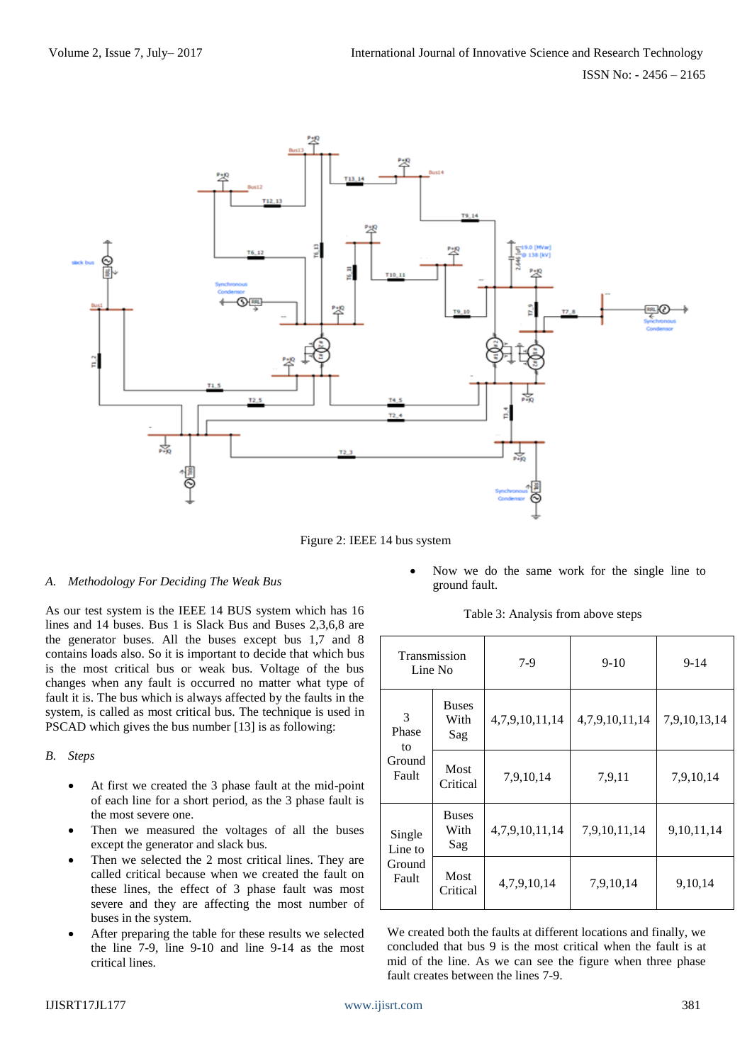

Figure 2: IEEE 14 bus system

## *A. Methodology For Deciding The Weak Bus*

As our test system is the IEEE 14 BUS system which has 16 lines and 14 buses. Bus 1 is Slack Bus and Buses 2,3,6,8 are the generator buses. All the buses except bus 1,7 and 8 contains loads also. So it is important to decide that which bus is the most critical bus or weak bus. Voltage of the bus changes when any fault is occurred no matter what type of fault it is. The bus which is always affected by the faults in the system, is called as most critical bus. The technique is used in PSCAD which gives the bus number [13] is as following:

#### *B. Steps*

- At first we created the 3 phase fault at the mid-point of each line for a short period, as the 3 phase fault is the most severe one.
- Then we measured the voltages of all the buses except the generator and slack bus.
- Then we selected the 2 most critical lines. They are called critical because when we created the fault on these lines, the effect of 3 phase fault was most severe and they are affecting the most number of buses in the system.
- After preparing the table for these results we selected the line 7-9, line 9-10 and line 9-14 as the most critical lines.

• Now we do the same work for the single line to ground fault.

Table 3: Analysis from above steps

|  | Transmission<br>Line No. |                             | $7-9$          | $9-10$         | $9-14$       |
|--|--------------------------|-----------------------------|----------------|----------------|--------------|
|  | 3<br>Phase<br>to         | <b>Buses</b><br>With<br>Sag | 4,7,9,10,11,14 | 4,7,9,10,11,14 | 7,9,10,13,14 |
|  | Ground<br>Fault          | Most<br>Critical            | 7,9,10,14      | 7,9,11         | 7,9,10,14    |
|  | Single<br>Line to        | <b>Buses</b><br>With<br>Sag | 4,7,9,10,11,14 | 7,9,10,11,14   | 9,10,11,14   |
|  | Ground<br>Fault          | Most<br>Critical            | 4,7,9,10,14    | 7,9,10,14      | 9,10,14      |

We created both the faults at different locations and finally, we concluded that bus 9 is the most critical when the fault is at mid of the line. As we can see the figure when three phase fault creates between the lines 7-9.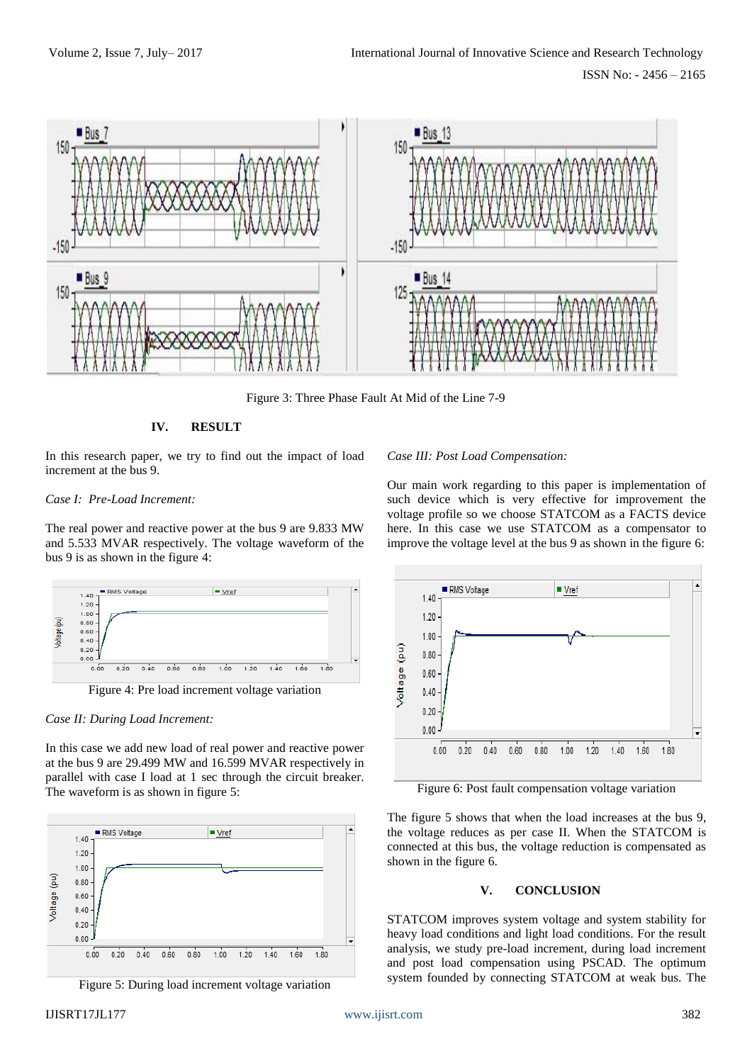

Figure 3: Three Phase Fault At Mid of the Line 7-9

## **IV. RESULT**

In this research paper, we try to find out the impact of load increment at the bus 9.

#### *Case I: Pre-Load Increment:*

The real power and reactive power at the bus 9 are 9.833 MW and 5.533 MVAR respectively. The voltage waveform of the bus 9 is as shown in the figure 4:



Figure 4: Pre load increment voltage variation

#### *Case II: During Load Increment:*

In this case we add new load of real power and reactive power at the bus 9 are 29.499 MW and 16.599 MVAR respectively in parallel with case I load at 1 sec through the circuit breaker. The waveform is as shown in figure 5:



Figure 5: During load increment voltage variation

# *Case III: Post Load Compensation:*

Our main work regarding to this paper is implementation of such device which is very effective for improvement the voltage profile so we choose STATCOM as a FACTS device here. In this case we use STATCOM as a compensator to improve the voltage level at the bus 9 as shown in the figure 6:



Figure 6: Post fault compensation voltage variation

The figure 5 shows that when the load increases at the bus 9, the voltage reduces as per case II. When the STATCOM is connected at this bus, the voltage reduction is compensated as shown in the figure 6.

#### **V. CONCLUSION**

STATCOM improves system voltage and system stability for heavy load conditions and light load conditions. For the result analysis, we study pre-load increment, during load increment and post load compensation using PSCAD. The optimum system founded by connecting STATCOM at weak bus. The